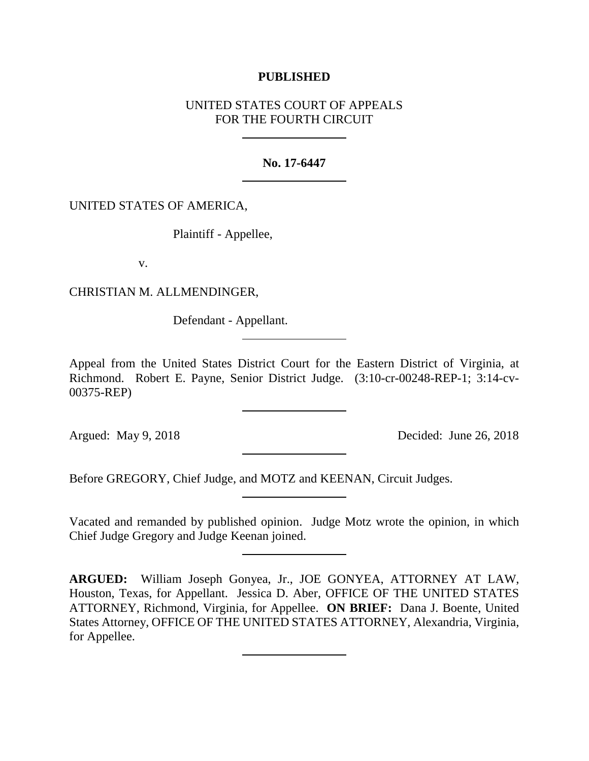# **PUBLISHED**

# UNITED STATES COURT OF APPEALS FOR THE FOURTH CIRCUIT

## **No. 17-6447**

# UNITED STATES OF AMERICA,

Plaintiff - Appellee,

v.

CHRISTIAN M. ALLMENDINGER,

Defendant - Appellant.

Appeal from the United States District Court for the Eastern District of Virginia, at Richmond. Robert E. Payne, Senior District Judge. (3:10-cr-00248-REP-1; 3:14-cv-00375-REP)

Argued: May 9, 2018 Decided: June 26, 2018

Before GREGORY, Chief Judge, and MOTZ and KEENAN, Circuit Judges.

Vacated and remanded by published opinion. Judge Motz wrote the opinion, in which Chief Judge Gregory and Judge Keenan joined.

**ARGUED:** William Joseph Gonyea, Jr., JOE GONYEA, ATTORNEY AT LAW, Houston, Texas, for Appellant. Jessica D. Aber, OFFICE OF THE UNITED STATES ATTORNEY, Richmond, Virginia, for Appellee. **ON BRIEF:** Dana J. Boente, United States Attorney, OFFICE OF THE UNITED STATES ATTORNEY, Alexandria, Virginia, for Appellee.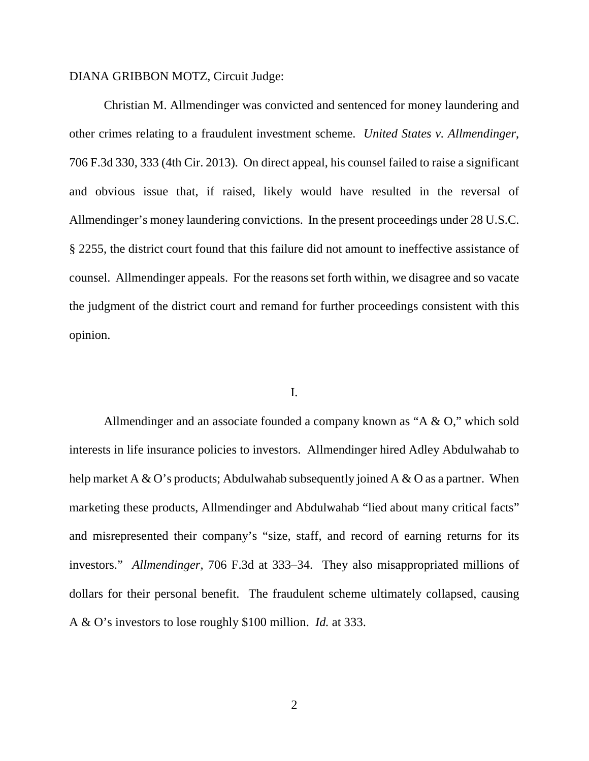#### DIANA GRIBBON MOTZ, Circuit Judge:

Christian M. Allmendinger was convicted and sentenced for money laundering and other crimes relating to a fraudulent investment scheme. *United States v. Allmendinger*, 706 F.3d 330, 333 (4th Cir. 2013). On direct appeal, his counsel failed to raise a significant and obvious issue that, if raised, likely would have resulted in the reversal of Allmendinger's money laundering convictions. In the present proceedings under 28 U.S.C. § 2255, the district court found that this failure did not amount to ineffective assistance of counsel. Allmendinger appeals. For the reasons set forth within, we disagree and so vacate the judgment of the district court and remand for further proceedings consistent with this opinion.

#### I.

Allmendinger and an associate founded a company known as "A & O," which sold interests in life insurance policies to investors. Allmendinger hired Adley Abdulwahab to help market A & O's products; Abdulwahab subsequently joined A & O as a partner. When marketing these products, Allmendinger and Abdulwahab "lied about many critical facts" and misrepresented their company's "size, staff, and record of earning returns for its investors." *Allmendinger*, 706 F.3d at 333–34. They also misappropriated millions of dollars for their personal benefit. The fraudulent scheme ultimately collapsed, causing A & O's investors to lose roughly \$100 million. *Id.* at 333.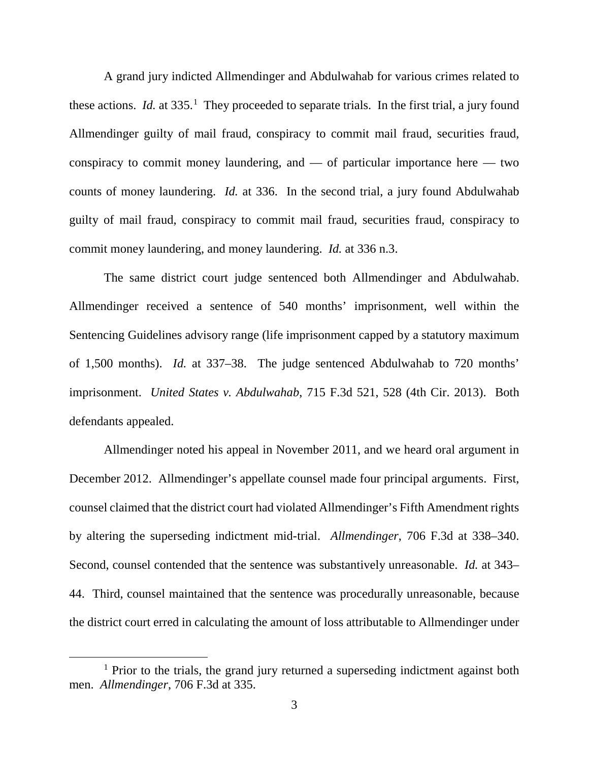A grand jury indicted Allmendinger and Abdulwahab for various crimes related to these actions. *Id.* at 335.<sup>[1](#page-2-0)</sup> They proceeded to separate trials. In the first trial, a jury found Allmendinger guilty of mail fraud, conspiracy to commit mail fraud, securities fraud, conspiracy to commit money laundering, and — of particular importance here — two counts of money laundering. *Id.* at 336. In the second trial, a jury found Abdulwahab guilty of mail fraud, conspiracy to commit mail fraud, securities fraud, conspiracy to commit money laundering, and money laundering. *Id.* at 336 n.3.

The same district court judge sentenced both Allmendinger and Abdulwahab. Allmendinger received a sentence of 540 months' imprisonment, well within the Sentencing Guidelines advisory range (life imprisonment capped by a statutory maximum of 1,500 months). *Id.* at 337–38. The judge sentenced Abdulwahab to 720 months' imprisonment. *United States v. Abdulwahab*, 715 F.3d 521, 528 (4th Cir. 2013). Both defendants appealed.

Allmendinger noted his appeal in November 2011, and we heard oral argument in December 2012. Allmendinger's appellate counsel made four principal arguments. First, counsel claimed that the district court had violated Allmendinger's Fifth Amendment rights by altering the superseding indictment mid-trial. *Allmendinger*, 706 F.3d at 338–340. Second, counsel contended that the sentence was substantively unreasonable. *Id.* at 343– 44. Third, counsel maintained that the sentence was procedurally unreasonable, because the district court erred in calculating the amount of loss attributable to Allmendinger under

<span id="page-2-0"></span><sup>&</sup>lt;sup>1</sup> Prior to the trials, the grand jury returned a superseding indictment against both men. *Allmendinger*, 706 F.3d at 335.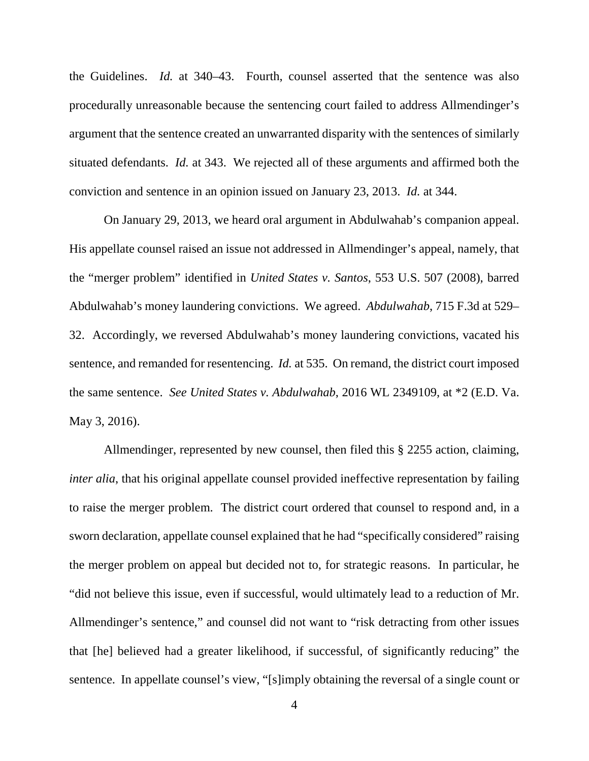the Guidelines. *Id.* at 340–43. Fourth, counsel asserted that the sentence was also procedurally unreasonable because the sentencing court failed to address Allmendinger's argument that the sentence created an unwarranted disparity with the sentences of similarly situated defendants. *Id.* at 343. We rejected all of these arguments and affirmed both the conviction and sentence in an opinion issued on January 23, 2013. *Id.* at 344.

On January 29, 2013, we heard oral argument in Abdulwahab's companion appeal. His appellate counsel raised an issue not addressed in Allmendinger's appeal, namely, that the "merger problem" identified in *United States v. Santos*, 553 U.S. 507 (2008), barred Abdulwahab's money laundering convictions. We agreed. *Abdulwahab*, 715 F.3d at 529– 32. Accordingly, we reversed Abdulwahab's money laundering convictions, vacated his sentence, and remanded for resentencing. *Id.* at 535. On remand, the district court imposed the same sentence. *See United States v. Abdulwahab*, 2016 WL 2349109, at \*2 (E.D. Va. May 3, 2016).

Allmendinger, represented by new counsel, then filed this § 2255 action, claiming, *inter alia*, that his original appellate counsel provided ineffective representation by failing to raise the merger problem. The district court ordered that counsel to respond and, in a sworn declaration, appellate counsel explained that he had "specifically considered" raising the merger problem on appeal but decided not to, for strategic reasons. In particular, he "did not believe this issue, even if successful, would ultimately lead to a reduction of Mr. Allmendinger's sentence," and counsel did not want to "risk detracting from other issues that [he] believed had a greater likelihood, if successful, of significantly reducing" the sentence. In appellate counsel's view, "[s]imply obtaining the reversal of a single count or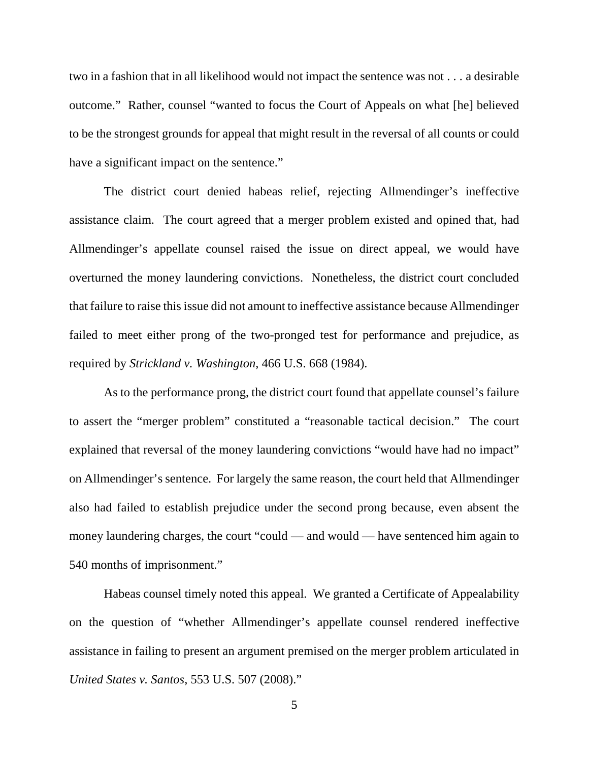two in a fashion that in all likelihood would not impact the sentence was not . . . a desirable outcome." Rather, counsel "wanted to focus the Court of Appeals on what [he] believed to be the strongest grounds for appeal that might result in the reversal of all counts or could have a significant impact on the sentence."

The district court denied habeas relief, rejecting Allmendinger's ineffective assistance claim. The court agreed that a merger problem existed and opined that, had Allmendinger's appellate counsel raised the issue on direct appeal, we would have overturned the money laundering convictions. Nonetheless, the district court concluded that failure to raise this issue did not amount to ineffective assistance because Allmendinger failed to meet either prong of the two-pronged test for performance and prejudice, as required by *Strickland v. Washington*, 466 U.S. 668 (1984).

As to the performance prong, the district court found that appellate counsel's failure to assert the "merger problem" constituted a "reasonable tactical decision." The court explained that reversal of the money laundering convictions "would have had no impact" on Allmendinger's sentence. For largely the same reason, the court held that Allmendinger also had failed to establish prejudice under the second prong because, even absent the money laundering charges, the court "could — and would — have sentenced him again to 540 months of imprisonment."

Habeas counsel timely noted this appeal. We granted a Certificate of Appealability on the question of "whether Allmendinger's appellate counsel rendered ineffective assistance in failing to present an argument premised on the merger problem articulated in *United States v. Santos*, 553 U.S. 507 (2008)."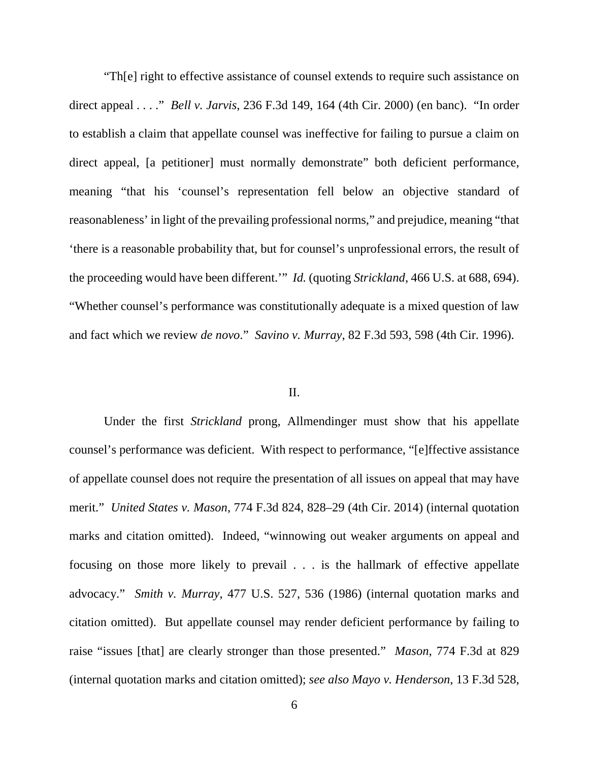"Th[e] right to effective assistance of counsel extends to require such assistance on direct appeal . . . ." *Bell v. Jarvis*, 236 F.3d 149, 164 (4th Cir. 2000) (en banc). "In order to establish a claim that appellate counsel was ineffective for failing to pursue a claim on direct appeal, [a petitioner] must normally demonstrate" both deficient performance, meaning "that his 'counsel's representation fell below an objective standard of reasonableness' in light of the prevailing professional norms," and prejudice, meaning "that 'there is a reasonable probability that, but for counsel's unprofessional errors, the result of the proceeding would have been different.'" *Id.* (quoting *Strickland*, 466 U.S. at 688, 694). "Whether counsel's performance was constitutionally adequate is a mixed question of law and fact which we review *de novo*." *Savino v. Murray*, 82 F.3d 593, 598 (4th Cir. 1996).

### II.

Under the first *Strickland* prong, Allmendinger must show that his appellate counsel's performance was deficient. With respect to performance, "[e]ffective assistance of appellate counsel does not require the presentation of all issues on appeal that may have merit." *United States v. Mason*, 774 F.3d 824, 828–29 (4th Cir. 2014) (internal quotation marks and citation omitted). Indeed, "winnowing out weaker arguments on appeal and focusing on those more likely to prevail . . . is the hallmark of effective appellate advocacy." *Smith v. Murray*, 477 U.S. 527, 536 (1986) (internal quotation marks and citation omitted). But appellate counsel may render deficient performance by failing to raise "issues [that] are clearly stronger than those presented." *Mason*, 774 F.3d at 829 (internal quotation marks and citation omitted); *see also Mayo v. Henderson*, 13 F.3d 528,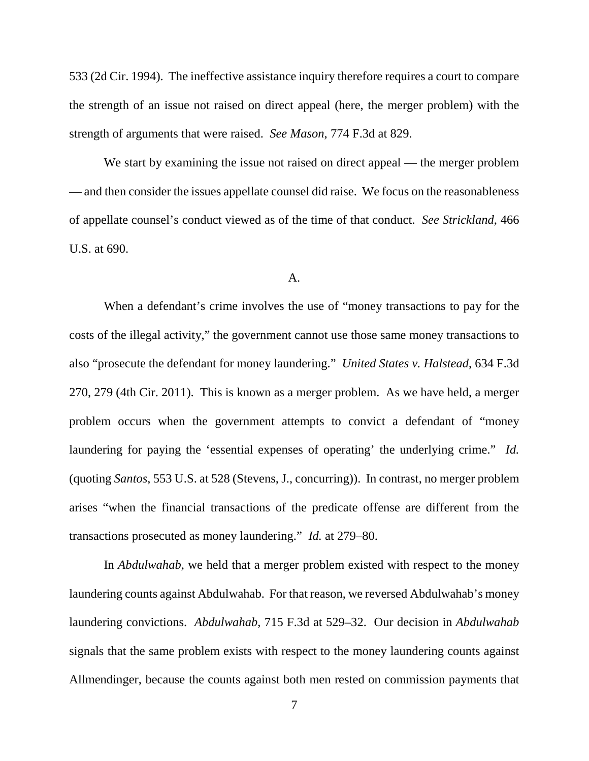533 (2d Cir. 1994). The ineffective assistance inquiry therefore requires a court to compare the strength of an issue not raised on direct appeal (here, the merger problem) with the strength of arguments that were raised. *See Mason*, 774 F.3d at 829.

We start by examining the issue not raised on direct appeal — the merger problem — and then consider the issues appellate counsel did raise. We focus on the reasonableness of appellate counsel's conduct viewed as of the time of that conduct. *See Strickland*, 466 U.S. at 690.

#### A.

When a defendant's crime involves the use of "money transactions to pay for the costs of the illegal activity," the government cannot use those same money transactions to also "prosecute the defendant for money laundering." *United States v. Halstead*, 634 F.3d 270, 279 (4th Cir. 2011). This is known as a merger problem. As we have held, a merger problem occurs when the government attempts to convict a defendant of "money laundering for paying the 'essential expenses of operating' the underlying crime." *Id.* (quoting *Santos*, 553 U.S. at 528 (Stevens, J., concurring)). In contrast, no merger problem arises "when the financial transactions of the predicate offense are different from the transactions prosecuted as money laundering." *Id.* at 279–80.

In *Abdulwahab*, we held that a merger problem existed with respect to the money laundering counts against Abdulwahab. For that reason, we reversed Abdulwahab's money laundering convictions. *Abdulwahab*, 715 F.3d at 529–32. Our decision in *Abdulwahab*  signals that the same problem exists with respect to the money laundering counts against Allmendinger, because the counts against both men rested on commission payments that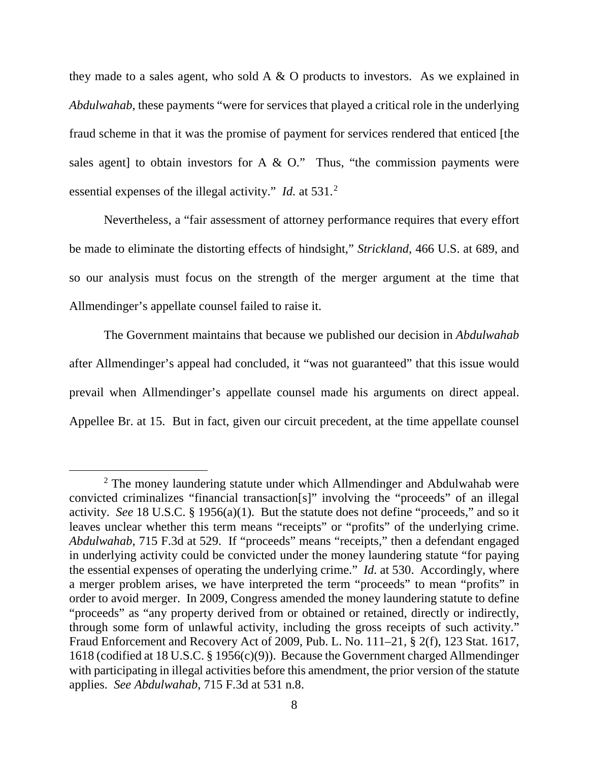they made to a sales agent, who sold  $A \& O$  products to investors. As we explained in *Abdulwahab*, these payments "were for services that played a critical role in the underlying fraud scheme in that it was the promise of payment for services rendered that enticed [the sales agent] to obtain investors for A  $\&$  O." Thus, "the commission payments were essential expenses of the illegal activity." *Id.* at 531.<sup>[2](#page-7-0)</sup>

Nevertheless, a "fair assessment of attorney performance requires that every effort be made to eliminate the distorting effects of hindsight," *Strickland*, 466 U.S. at 689, and so our analysis must focus on the strength of the merger argument at the time that Allmendinger's appellate counsel failed to raise it.

The Government maintains that because we published our decision in *Abdulwahab* after Allmendinger's appeal had concluded, it "was not guaranteed" that this issue would prevail when Allmendinger's appellate counsel made his arguments on direct appeal. Appellee Br. at 15. But in fact, given our circuit precedent, at the time appellate counsel

<span id="page-7-0"></span><sup>&</sup>lt;sup>2</sup> The money laundering statute under which Allmendinger and Abdulwahab were convicted criminalizes "financial transaction[s]" involving the "proceeds" of an illegal activity. *See* 18 U.S.C. § 1956(a)(1). But the statute does not define "proceeds," and so it leaves unclear whether this term means "receipts" or "profits" of the underlying crime. *Abdulwahab*, 715 F.3d at 529. If "proceeds" means "receipts," then a defendant engaged in underlying activity could be convicted under the money laundering statute "for paying the essential expenses of operating the underlying crime." *Id.* at 530. Accordingly, where a merger problem arises, we have interpreted the term "proceeds" to mean "profits" in order to avoid merger. In 2009, Congress amended the money laundering statute to define "proceeds" as "any property derived from or obtained or retained, directly or indirectly, through some form of unlawful activity, including the gross receipts of such activity." Fraud Enforcement and Recovery Act of 2009, Pub. L. No. 111–21, § 2(f), 123 Stat. 1617, 1618 (codified at 18 U.S.C. § 1956(c)(9)). Because the Government charged Allmendinger with participating in illegal activities before this amendment, the prior version of the statute applies. *See Abdulwahab*, 715 F.3d at 531 n.8.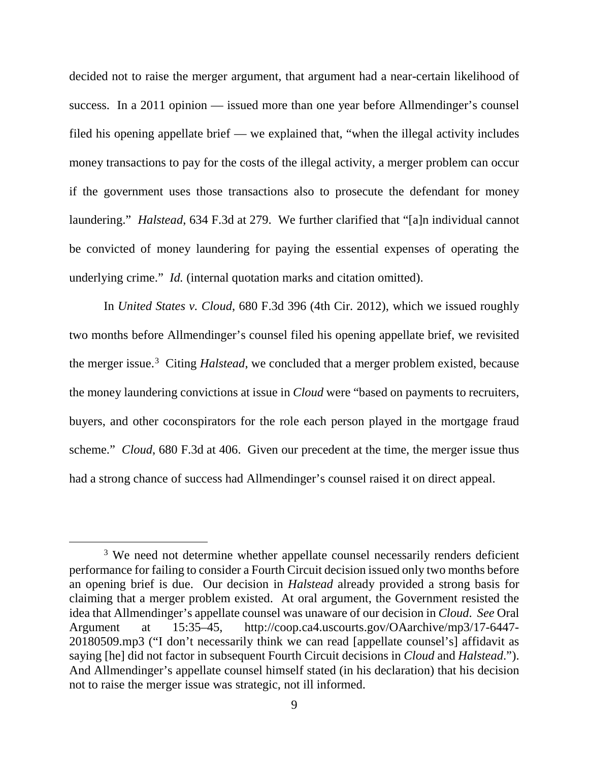decided not to raise the merger argument, that argument had a near-certain likelihood of success. In a 2011 opinion — issued more than one year before Allmendinger's counsel filed his opening appellate brief — we explained that, "when the illegal activity includes money transactions to pay for the costs of the illegal activity, a merger problem can occur if the government uses those transactions also to prosecute the defendant for money laundering." *Halstead*, 634 F.3d at 279. We further clarified that "[a]n individual cannot be convicted of money laundering for paying the essential expenses of operating the underlying crime." *Id.* (internal quotation marks and citation omitted).

In *United States v. Cloud*, 680 F.3d 396 (4th Cir. 2012), which we issued roughly two months before Allmendinger's counsel filed his opening appellate brief, we revisited the merger issue. [3](#page-8-0) Citing *Halstead*, we concluded that a merger problem existed, because the money laundering convictions at issue in *Cloud* were "based on payments to recruiters, buyers, and other coconspirators for the role each person played in the mortgage fraud scheme." *Cloud*, 680 F.3d at 406. Given our precedent at the time, the merger issue thus had a strong chance of success had Allmendinger's counsel raised it on direct appeal.

<span id="page-8-0"></span><sup>&</sup>lt;sup>3</sup> We need not determine whether appellate counsel necessarily renders deficient performance for failing to consider a Fourth Circuit decision issued only two months before an opening brief is due. Our decision in *Halstead* already provided a strong basis for claiming that a merger problem existed. At oral argument, the Government resisted the idea that Allmendinger's appellate counsel was unaware of our decision in *Cloud*. *See* Oral Argument at 15:35–45, http://coop.ca4.uscourts.gov/OAarchive/mp3/17-6447- 20180509.mp3 ("I don't necessarily think we can read [appellate counsel's] affidavit as saying [he] did not factor in subsequent Fourth Circuit decisions in *Cloud* and *Halstead*."). And Allmendinger's appellate counsel himself stated (in his declaration) that his decision not to raise the merger issue was strategic, not ill informed.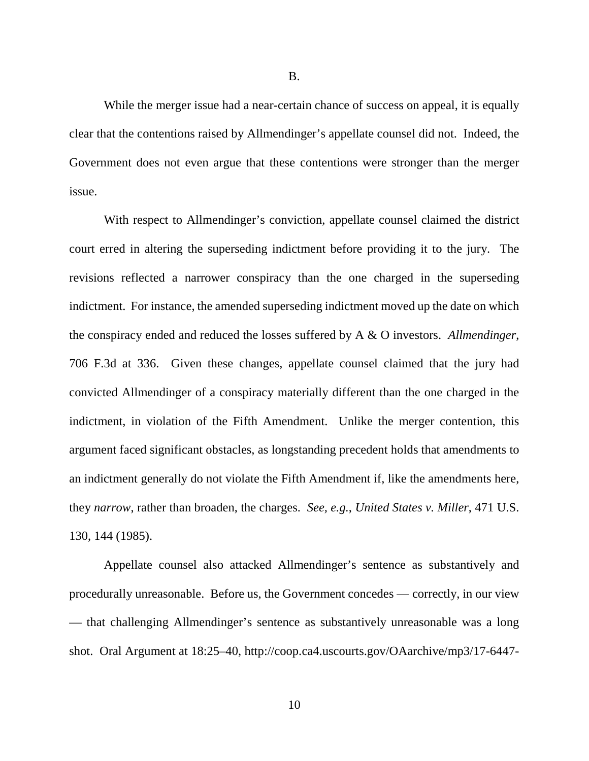While the merger issue had a near-certain chance of success on appeal, it is equally clear that the contentions raised by Allmendinger's appellate counsel did not. Indeed, the Government does not even argue that these contentions were stronger than the merger issue.

With respect to Allmendinger's conviction, appellate counsel claimed the district court erred in altering the superseding indictment before providing it to the jury. The revisions reflected a narrower conspiracy than the one charged in the superseding indictment. For instance, the amended superseding indictment moved up the date on which the conspiracy ended and reduced the losses suffered by A & O investors. *Allmendinger*, 706 F.3d at 336. Given these changes, appellate counsel claimed that the jury had convicted Allmendinger of a conspiracy materially different than the one charged in the indictment, in violation of the Fifth Amendment. Unlike the merger contention, this argument faced significant obstacles, as longstanding precedent holds that amendments to an indictment generally do not violate the Fifth Amendment if, like the amendments here, they *narrow*, rather than broaden, the charges. *See, e.g.*, *United States v. Miller*, 471 U.S. 130, 144 (1985).

Appellate counsel also attacked Allmendinger's sentence as substantively and procedurally unreasonable. Before us, the Government concedes — correctly, in our view — that challenging Allmendinger's sentence as substantively unreasonable was a long shot. Oral Argument at 18:25–40, http://coop.ca4.uscourts.gov/OAarchive/mp3/17-6447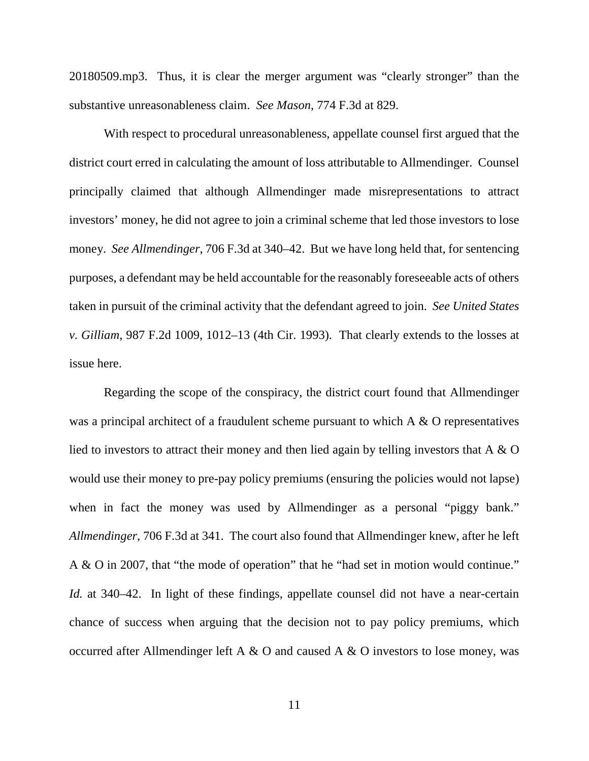20180509.mp3. Thus, it is clear the merger argument was "clearly stronger" than the substantive unreasonableness claim. *See Mason*, 774 F.3d at 829.

With respect to procedural unreasonableness, appellate counsel first argued that the district court erred in calculating the amount of loss attributable to Allmendinger. Counsel principally claimed that although Allmendinger made misrepresentations to attract investors' money, he did not agree to join a criminal scheme that led those investors to lose money. *See Allmendinger*, 706 F.3d at 340–42. But we have long held that, for sentencing purposes, a defendant may be held accountable for the reasonably foreseeable acts of others taken in pursuit of the criminal activity that the defendant agreed to join. *See United States v. Gilliam*, 987 F.2d 1009, 1012–13 (4th Cir. 1993). That clearly extends to the losses at issue here.

Regarding the scope of the conspiracy, the district court found that Allmendinger was a principal architect of a fraudulent scheme pursuant to which A & O representatives lied to investors to attract their money and then lied again by telling investors that A & O would use their money to pre-pay policy premiums (ensuring the policies would not lapse) when in fact the money was used by Allmendinger as a personal "piggy bank." *Allmendinger*, 706 F.3d at 341. The court also found that Allmendinger knew, after he left A & O in 2007, that "the mode of operation" that he "had set in motion would continue." *Id.* at 340–42. In light of these findings, appellate counsel did not have a near-certain chance of success when arguing that the decision not to pay policy premiums, which occurred after Allmendinger left A  $\&$  O and caused A  $\&$  O investors to lose money, was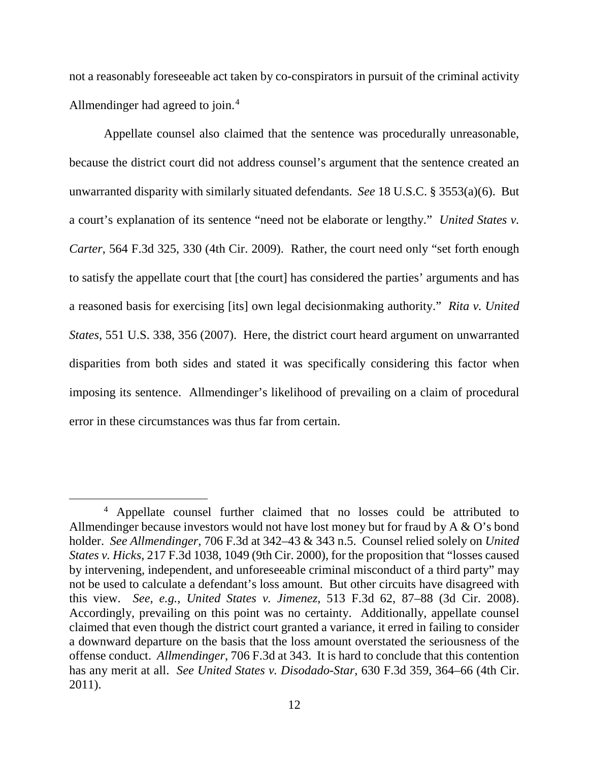not a reasonably foreseeable act taken by co-conspirators in pursuit of the criminal activity Allmendinger had agreed to join.<sup>[4](#page-11-0)</sup>

Appellate counsel also claimed that the sentence was procedurally unreasonable, because the district court did not address counsel's argument that the sentence created an unwarranted disparity with similarly situated defendants. *See* 18 U.S.C. § 3553(a)(6). But a court's explanation of its sentence "need not be elaborate or lengthy." *United States v. Carter*, 564 F.3d 325, 330 (4th Cir. 2009). Rather, the court need only "set forth enough to satisfy the appellate court that [the court] has considered the parties' arguments and has a reasoned basis for exercising [its] own legal decisionmaking authority." *Rita v. United States*, 551 U.S. 338, 356 (2007). Here, the district court heard argument on unwarranted disparities from both sides and stated it was specifically considering this factor when imposing its sentence. Allmendinger's likelihood of prevailing on a claim of procedural error in these circumstances was thus far from certain.

<span id="page-11-0"></span> <sup>4</sup> Appellate counsel further claimed that no losses could be attributed to Allmendinger because investors would not have lost money but for fraud by A & O's bond holder. *See Allmendinger*, 706 F.3d at 342–43 & 343 n.5. Counsel relied solely on *United States v. Hicks*, 217 F.3d 1038, 1049 (9th Cir. 2000), for the proposition that "losses caused by intervening, independent, and unforeseeable criminal misconduct of a third party" may not be used to calculate a defendant's loss amount. But other circuits have disagreed with this view. *See, e.g.*, *United States v. Jimenez*, 513 F.3d 62, 87–88 (3d Cir. 2008). Accordingly, prevailing on this point was no certainty. Additionally, appellate counsel claimed that even though the district court granted a variance, it erred in failing to consider a downward departure on the basis that the loss amount overstated the seriousness of the offense conduct. *Allmendinger*, 706 F.3d at 343. It is hard to conclude that this contention has any merit at all. *See United States v. Disodado-Star*, 630 F.3d 359, 364–66 (4th Cir. 2011).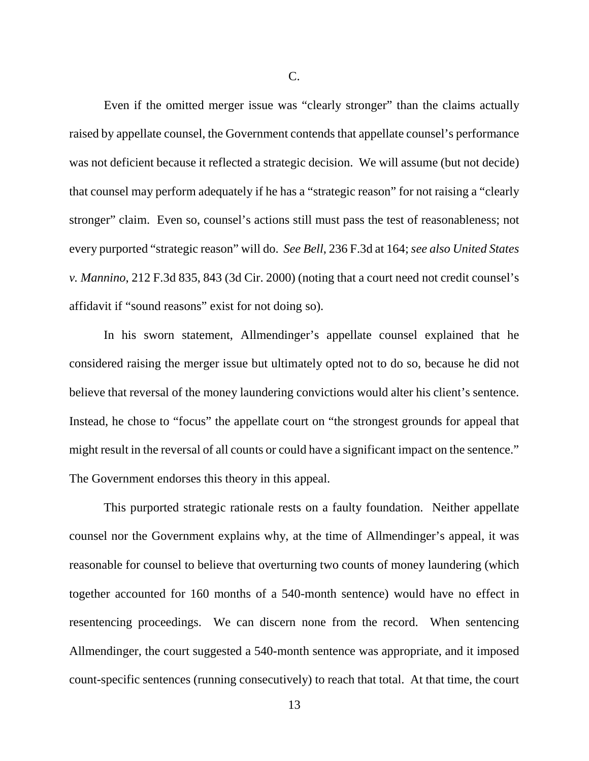Even if the omitted merger issue was "clearly stronger" than the claims actually raised by appellate counsel, the Government contends that appellate counsel's performance was not deficient because it reflected a strategic decision. We will assume (but not decide) that counsel may perform adequately if he has a "strategic reason" for not raising a "clearly stronger" claim. Even so, counsel's actions still must pass the test of reasonableness; not every purported "strategic reason" will do. *See Bell*, 236 F.3d at 164; *see also United States v. Mannino*, 212 F.3d 835, 843 (3d Cir. 2000) (noting that a court need not credit counsel's affidavit if "sound reasons" exist for not doing so).

In his sworn statement, Allmendinger's appellate counsel explained that he considered raising the merger issue but ultimately opted not to do so, because he did not believe that reversal of the money laundering convictions would alter his client's sentence. Instead, he chose to "focus" the appellate court on "the strongest grounds for appeal that might result in the reversal of all counts or could have a significant impact on the sentence." The Government endorses this theory in this appeal.

This purported strategic rationale rests on a faulty foundation. Neither appellate counsel nor the Government explains why, at the time of Allmendinger's appeal, it was reasonable for counsel to believe that overturning two counts of money laundering (which together accounted for 160 months of a 540-month sentence) would have no effect in resentencing proceedings. We can discern none from the record. When sentencing Allmendinger, the court suggested a 540-month sentence was appropriate, and it imposed count-specific sentences (running consecutively) to reach that total. At that time, the court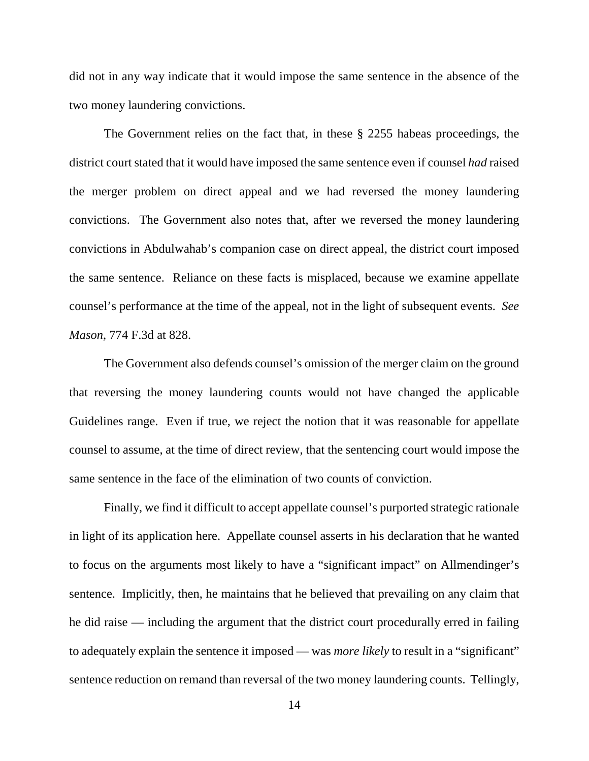did not in any way indicate that it would impose the same sentence in the absence of the two money laundering convictions.

The Government relies on the fact that, in these § 2255 habeas proceedings, the district court stated that it would have imposed the same sentence even if counsel *had* raised the merger problem on direct appeal and we had reversed the money laundering convictions. The Government also notes that, after we reversed the money laundering convictions in Abdulwahab's companion case on direct appeal, the district court imposed the same sentence. Reliance on these facts is misplaced, because we examine appellate counsel's performance at the time of the appeal, not in the light of subsequent events. *See Mason*, 774 F.3d at 828.

The Government also defends counsel's omission of the merger claim on the ground that reversing the money laundering counts would not have changed the applicable Guidelines range. Even if true, we reject the notion that it was reasonable for appellate counsel to assume, at the time of direct review, that the sentencing court would impose the same sentence in the face of the elimination of two counts of conviction.

Finally, we find it difficult to accept appellate counsel's purported strategic rationale in light of its application here. Appellate counsel asserts in his declaration that he wanted to focus on the arguments most likely to have a "significant impact" on Allmendinger's sentence. Implicitly, then, he maintains that he believed that prevailing on any claim that he did raise — including the argument that the district court procedurally erred in failing to adequately explain the sentence it imposed — was *more likely* to result in a "significant" sentence reduction on remand than reversal of the two money laundering counts. Tellingly,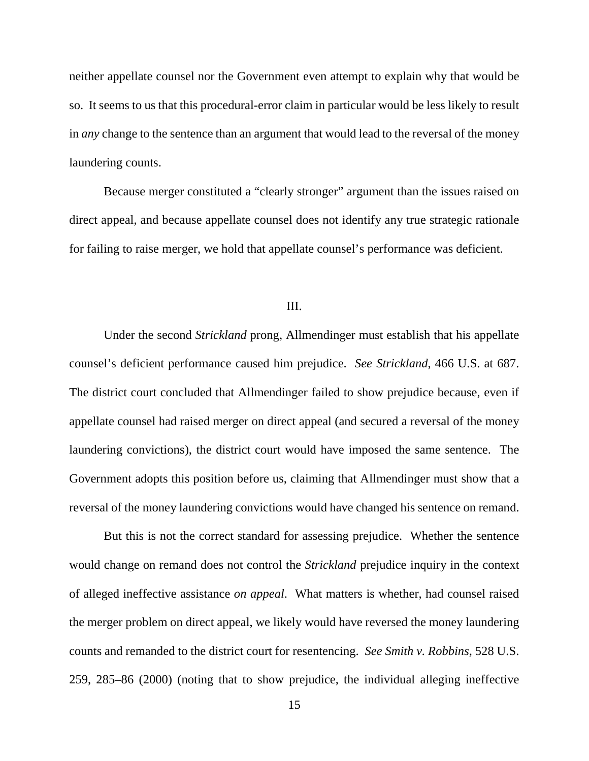neither appellate counsel nor the Government even attempt to explain why that would be so. It seems to us that this procedural-error claim in particular would be less likely to result in *any* change to the sentence than an argument that would lead to the reversal of the money laundering counts.

Because merger constituted a "clearly stronger" argument than the issues raised on direct appeal, and because appellate counsel does not identify any true strategic rationale for failing to raise merger, we hold that appellate counsel's performance was deficient.

## III.

Under the second *Strickland* prong, Allmendinger must establish that his appellate counsel's deficient performance caused him prejudice. *See Strickland*, 466 U.S. at 687. The district court concluded that Allmendinger failed to show prejudice because, even if appellate counsel had raised merger on direct appeal (and secured a reversal of the money laundering convictions), the district court would have imposed the same sentence. The Government adopts this position before us, claiming that Allmendinger must show that a reversal of the money laundering convictions would have changed his sentence on remand.

But this is not the correct standard for assessing prejudice. Whether the sentence would change on remand does not control the *Strickland* prejudice inquiry in the context of alleged ineffective assistance *on appeal*. What matters is whether, had counsel raised the merger problem on direct appeal, we likely would have reversed the money laundering counts and remanded to the district court for resentencing. *See Smith v. Robbins*, 528 U.S. 259, 285–86 (2000) (noting that to show prejudice, the individual alleging ineffective